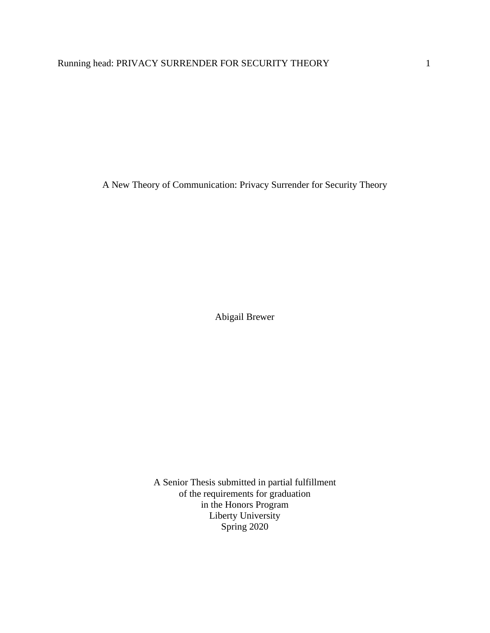A New Theory of Communication: Privacy Surrender for Security Theory

Abigail Brewer

A Senior Thesis submitted in partial fulfillment of the requirements for graduation in the Honors Program Liberty University Spring 2020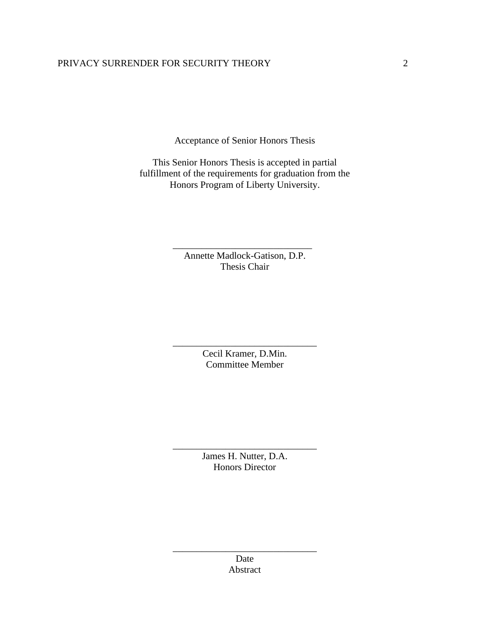# PRIVACY SURRENDER FOR SECURITY THEORY 2

Acceptance of Senior Honors Thesis

This Senior Honors Thesis is accepted in partial fulfillment of the requirements for graduation from the Honors Program of Liberty University.

> Annette Madlock-Gatison, D.P. Thesis Chair

\_\_\_\_\_\_\_\_\_\_\_\_\_\_\_\_\_\_\_\_\_\_\_\_\_\_\_\_\_

Cecil Kramer, D.Min. Committee Member

\_\_\_\_\_\_\_\_\_\_\_\_\_\_\_\_\_\_\_\_\_\_\_\_\_\_\_\_\_\_

James H. Nutter, D.A. Honors Director

\_\_\_\_\_\_\_\_\_\_\_\_\_\_\_\_\_\_\_\_\_\_\_\_\_\_\_\_\_\_

Date Abstract

\_\_\_\_\_\_\_\_\_\_\_\_\_\_\_\_\_\_\_\_\_\_\_\_\_\_\_\_\_\_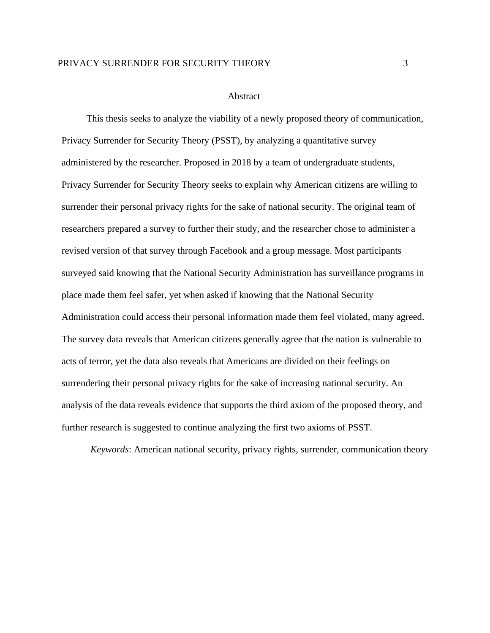# PRIVACY SURRENDER FOR SECURITY THEORY 3

#### Abstract

This thesis seeks to analyze the viability of a newly proposed theory of communication, Privacy Surrender for Security Theory (PSST), by analyzing a quantitative survey administered by the researcher. Proposed in 2018 by a team of undergraduate students, Privacy Surrender for Security Theory seeks to explain why American citizens are willing to surrender their personal privacy rights for the sake of national security. The original team of researchers prepared a survey to further their study, and the researcher chose to administer a revised version of that survey through Facebook and a group message. Most participants surveyed said knowing that the National Security Administration has surveillance programs in place made them feel safer, yet when asked if knowing that the National Security Administration could access their personal information made them feel violated, many agreed. The survey data reveals that American citizens generally agree that the nation is vulnerable to acts of terror, yet the data also reveals that Americans are divided on their feelings on surrendering their personal privacy rights for the sake of increasing national security. An analysis of the data reveals evidence that supports the third axiom of the proposed theory, and further research is suggested to continue analyzing the first two axioms of PSST.

*Keywords*: American national security, privacy rights, surrender, communication theory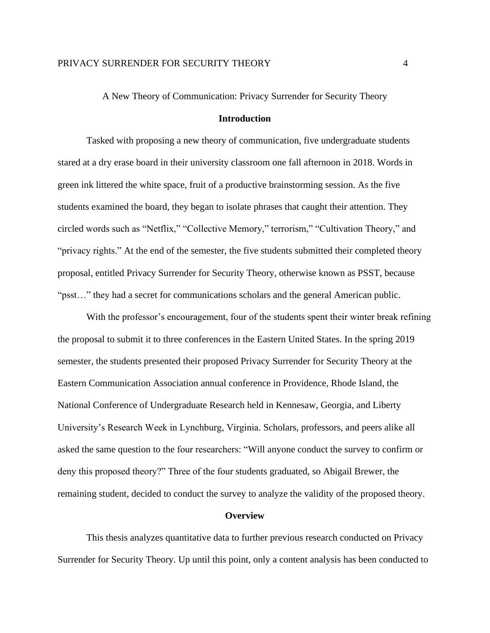# A New Theory of Communication: Privacy Surrender for Security Theory

# **Introduction**

Tasked with proposing a new theory of communication, five undergraduate students stared at a dry erase board in their university classroom one fall afternoon in 2018. Words in green ink littered the white space, fruit of a productive brainstorming session. As the five students examined the board, they began to isolate phrases that caught their attention. They circled words such as "Netflix," "Collective Memory," terrorism," "Cultivation Theory," and "privacy rights." At the end of the semester, the five students submitted their completed theory proposal, entitled Privacy Surrender for Security Theory, otherwise known as PSST, because "psst…" they had a secret for communications scholars and the general American public.

With the professor's encouragement, four of the students spent their winter break refining the proposal to submit it to three conferences in the Eastern United States. In the spring 2019 semester, the students presented their proposed Privacy Surrender for Security Theory at the Eastern Communication Association annual conference in Providence, Rhode Island, the National Conference of Undergraduate Research held in Kennesaw, Georgia, and Liberty University's Research Week in Lynchburg, Virginia. Scholars, professors, and peers alike all asked the same question to the four researchers: "Will anyone conduct the survey to confirm or deny this proposed theory?" Three of the four students graduated, so Abigail Brewer, the remaining student, decided to conduct the survey to analyze the validity of the proposed theory.

#### **Overview**

This thesis analyzes quantitative data to further previous research conducted on Privacy Surrender for Security Theory. Up until this point, only a content analysis has been conducted to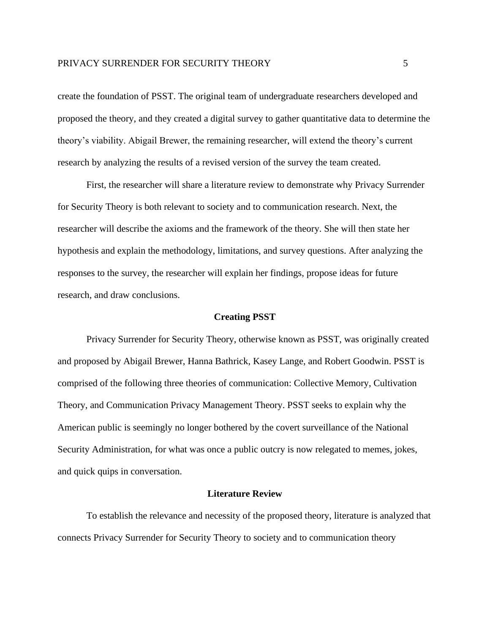create the foundation of PSST. The original team of undergraduate researchers developed and proposed the theory, and they created a digital survey to gather quantitative data to determine the theory's viability. Abigail Brewer, the remaining researcher, will extend the theory's current research by analyzing the results of a revised version of the survey the team created.

First, the researcher will share a literature review to demonstrate why Privacy Surrender for Security Theory is both relevant to society and to communication research. Next, the researcher will describe the axioms and the framework of the theory. She will then state her hypothesis and explain the methodology, limitations, and survey questions. After analyzing the responses to the survey, the researcher will explain her findings, propose ideas for future research, and draw conclusions.

#### **Creating PSST**

Privacy Surrender for Security Theory, otherwise known as PSST, was originally created and proposed by Abigail Brewer, Hanna Bathrick, Kasey Lange, and Robert Goodwin. PSST is comprised of the following three theories of communication: Collective Memory, Cultivation Theory, and Communication Privacy Management Theory. PSST seeks to explain why the American public is seemingly no longer bothered by the covert surveillance of the National Security Administration, for what was once a public outcry is now relegated to memes, jokes, and quick quips in conversation.

# **Literature Review**

To establish the relevance and necessity of the proposed theory, literature is analyzed that connects Privacy Surrender for Security Theory to society and to communication theory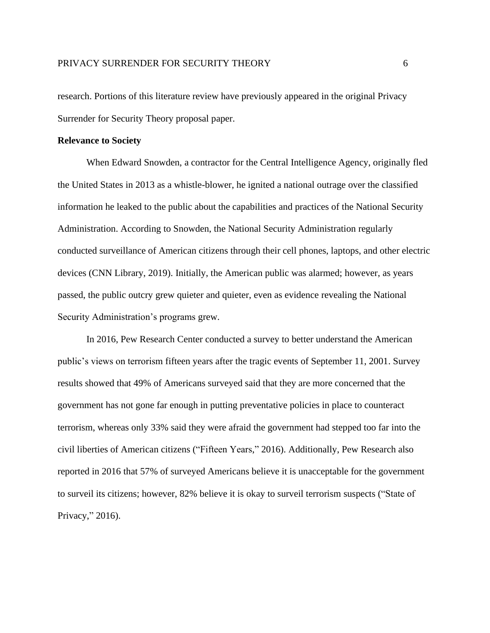research. Portions of this literature review have previously appeared in the original Privacy Surrender for Security Theory proposal paper.

# **Relevance to Society**

When Edward Snowden, a contractor for the Central Intelligence Agency, originally fled the United States in 2013 as a whistle-blower, he ignited a national outrage over the classified information he leaked to the public about the capabilities and practices of the National Security Administration. According to Snowden, the National Security Administration regularly conducted surveillance of American citizens through their cell phones, laptops, and other electric devices (CNN Library, 2019). Initially, the American public was alarmed; however, as years passed, the public outcry grew quieter and quieter, even as evidence revealing the National Security Administration's programs grew.

In 2016, Pew Research Center conducted a survey to better understand the American public's views on terrorism fifteen years after the tragic events of September 11, 2001. Survey results showed that 49% of Americans surveyed said that they are more concerned that the government has not gone far enough in putting preventative policies in place to counteract terrorism, whereas only 33% said they were afraid the government had stepped too far into the civil liberties of American citizens ("Fifteen Years," 2016). Additionally, Pew Research also reported in 2016 that 57% of surveyed Americans believe it is unacceptable for the government to surveil its citizens; however, 82% believe it is okay to surveil terrorism suspects ("State of Privacy," 2016).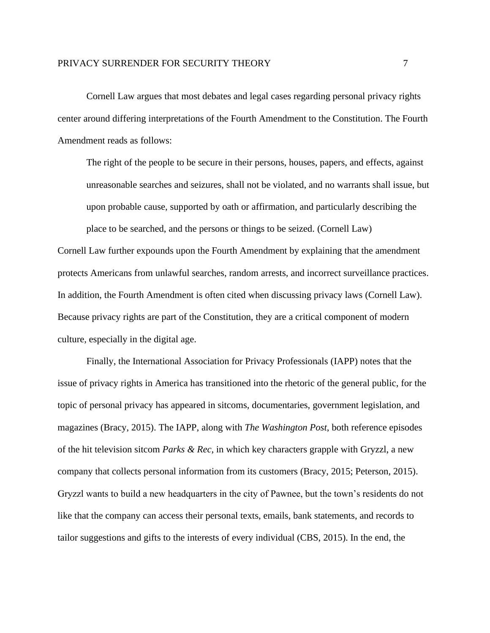Cornell Law argues that most debates and legal cases regarding personal privacy rights center around differing interpretations of the Fourth Amendment to the Constitution. The Fourth Amendment reads as follows:

The right of the people to be secure in their persons, houses, papers, and effects, against unreasonable searches and seizures, shall not be violated, and no warrants shall issue, but upon probable cause, supported by oath or affirmation, and particularly describing the place to be searched, and the persons or things to be seized. (Cornell Law)

Cornell Law further expounds upon the Fourth Amendment by explaining that the amendment protects Americans from unlawful searches, random arrests, and incorrect surveillance practices. In addition, the Fourth Amendment is often cited when discussing privacy laws (Cornell Law). Because privacy rights are part of the Constitution, they are a critical component of modern culture, especially in the digital age.

Finally, the International Association for Privacy Professionals (IAPP) notes that the issue of privacy rights in America has transitioned into the rhetoric of the general public, for the topic of personal privacy has appeared in sitcoms, documentaries, government legislation, and magazines (Bracy, 2015). The IAPP, along with *The Washington Post*, both reference episodes of the hit television sitcom *Parks & Rec*, in which key characters grapple with Gryzzl, a new company that collects personal information from its customers (Bracy, 2015; Peterson, 2015). Gryzzl wants to build a new headquarters in the city of Pawnee, but the town's residents do not like that the company can access their personal texts, emails, bank statements, and records to tailor suggestions and gifts to the interests of every individual (CBS, 2015). In the end, the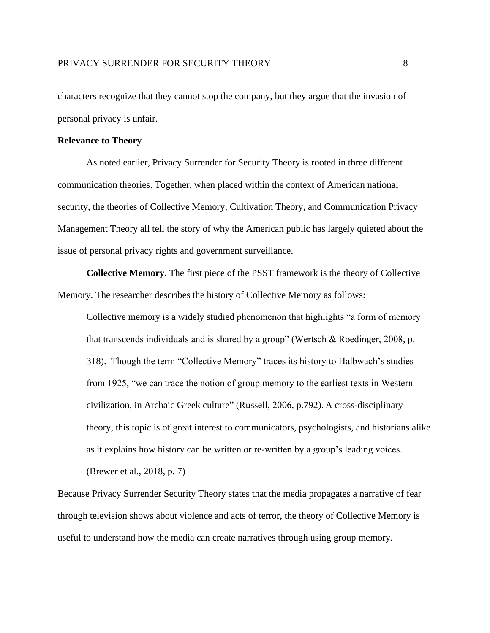characters recognize that they cannot stop the company, but they argue that the invasion of personal privacy is unfair.

# **Relevance to Theory**

As noted earlier, Privacy Surrender for Security Theory is rooted in three different communication theories. Together, when placed within the context of American national security, the theories of Collective Memory, Cultivation Theory, and Communication Privacy Management Theory all tell the story of why the American public has largely quieted about the issue of personal privacy rights and government surveillance.

**Collective Memory.** The first piece of the PSST framework is the theory of Collective Memory. The researcher describes the history of Collective Memory as follows:

Collective memory is a widely studied phenomenon that highlights "a form of memory that transcends individuals and is shared by a group" (Wertsch & Roedinger, 2008, p. 318). Though the term "Collective Memory" traces its history to Halbwach's studies from 1925, "we can trace the notion of group memory to the earliest texts in Western civilization, in Archaic Greek culture" (Russell, 2006, p.792). A cross-disciplinary theory, this topic is of great interest to communicators, psychologists, and historians alike as it explains how history can be written or re-written by a group's leading voices.

(Brewer et al., 2018, p. 7)

Because Privacy Surrender Security Theory states that the media propagates a narrative of fear through television shows about violence and acts of terror, the theory of Collective Memory is useful to understand how the media can create narratives through using group memory.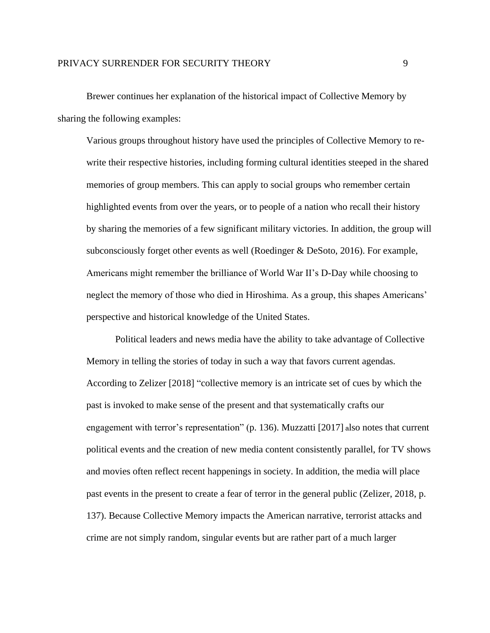Brewer continues her explanation of the historical impact of Collective Memory by sharing the following examples:

Various groups throughout history have used the principles of Collective Memory to rewrite their respective histories, including forming cultural identities steeped in the shared memories of group members. This can apply to social groups who remember certain highlighted events from over the years, or to people of a nation who recall their history by sharing the memories of a few significant military victories. In addition, the group will subconsciously forget other events as well (Roedinger & DeSoto, 2016). For example, Americans might remember the brilliance of World War II's D-Day while choosing to neglect the memory of those who died in Hiroshima. As a group, this shapes Americans' perspective and historical knowledge of the United States.

Political leaders and news media have the ability to take advantage of Collective Memory in telling the stories of today in such a way that favors current agendas. According to Zelizer [2018] "collective memory is an intricate set of cues by which the past is invoked to make sense of the present and that systematically crafts our engagement with terror's representation" (p. 136). Muzzatti [2017] <sup>a</sup>lso notes that current political events and the creation of new media content consistently parallel, for TV shows and movies often reflect recent happenings in society. In addition, the media will place past events in the present to create a fear of terror in the general public (Zelizer, 2018, p. 137). Because Collective Memory impacts the American narrative, terrorist attacks and crime are not simply random, singular events but are rather part of a much larger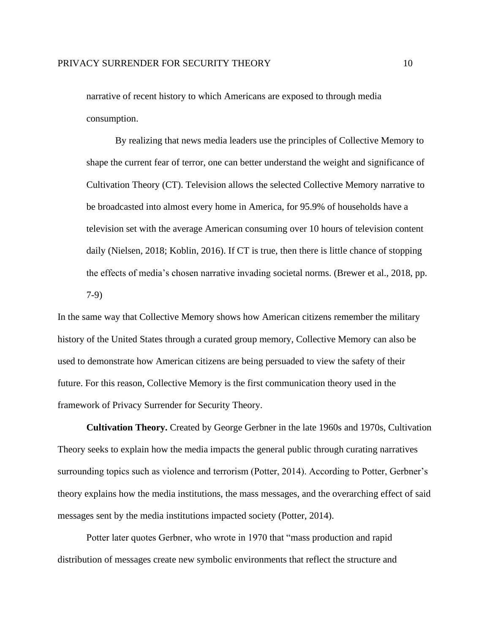narrative of recent history to which Americans are exposed to through media consumption.

By realizing that news media leaders use the principles of Collective Memory to shape the current fear of terror, one can better understand the weight and significance of Cultivation Theory (CT). Television allows the selected Collective Memory narrative to be broadcasted into almost every home in America, for 95.9% of households have a television set with the average American consuming over 10 hours of television content daily (Nielsen, 2018; Koblin, 2016). If CT is true, then there is little chance of stopping the effects of media's chosen narrative invading societal norms. (Brewer et al., 2018, pp. 7-9)

In the same way that Collective Memory shows how American citizens remember the military history of the United States through a curated group memory, Collective Memory can also be used to demonstrate how American citizens are being persuaded to view the safety of their future. For this reason, Collective Memory is the first communication theory used in the framework of Privacy Surrender for Security Theory.

**Cultivation Theory.** Created by George Gerbner in the late 1960s and 1970s, Cultivation Theory seeks to explain how the media impacts the general public through curating narratives surrounding topics such as violence and terrorism (Potter, 2014). According to Potter, Gerbner's theory explains how the media institutions, the mass messages, and the overarching effect of said messages sent by the media institutions impacted society (Potter, 2014).

Potter later quotes Gerbner, who wrote in 1970 that "mass production and rapid distribution of messages create new symbolic environments that reflect the structure and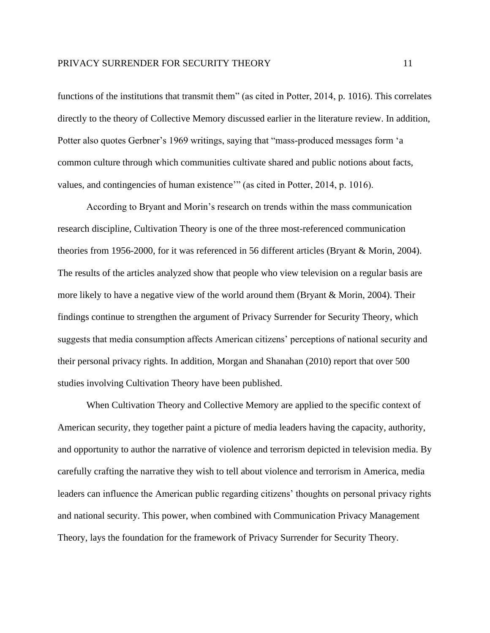functions of the institutions that transmit them" (as cited in Potter, 2014, p. 1016). This correlates directly to the theory of Collective Memory discussed earlier in the literature review. In addition, Potter also quotes Gerbner's 1969 writings, saying that "mass-produced messages form 'a common culture through which communities cultivate shared and public notions about facts, values, and contingencies of human existence'" (as cited in Potter, 2014, p. 1016).

According to Bryant and Morin's research on trends within the mass communication research discipline, Cultivation Theory is one of the three most-referenced communication theories from 1956-2000, for it was referenced in 56 different articles (Bryant & Morin, 2004). The results of the articles analyzed show that people who view television on a regular basis are more likely to have a negative view of the world around them (Bryant & Morin, 2004). Their findings continue to strengthen the argument of Privacy Surrender for Security Theory, which suggests that media consumption affects American citizens' perceptions of national security and their personal privacy rights. In addition, Morgan and Shanahan (2010) report that over 500 studies involving Cultivation Theory have been published.

When Cultivation Theory and Collective Memory are applied to the specific context of American security, they together paint a picture of media leaders having the capacity, authority, and opportunity to author the narrative of violence and terrorism depicted in television media. By carefully crafting the narrative they wish to tell about violence and terrorism in America, media leaders can influence the American public regarding citizens' thoughts on personal privacy rights and national security. This power, when combined with Communication Privacy Management Theory, lays the foundation for the framework of Privacy Surrender for Security Theory.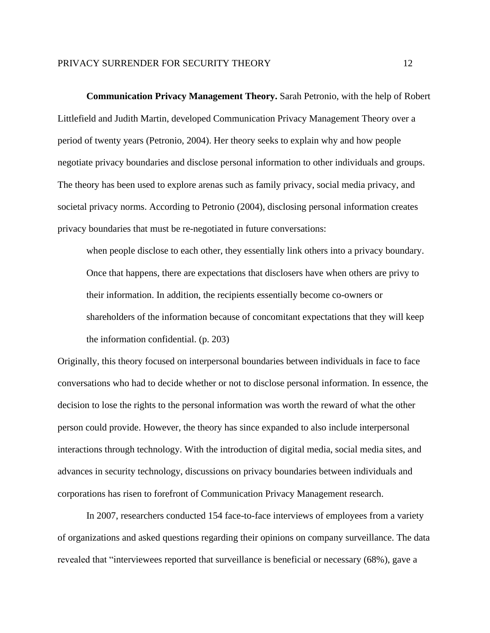### PRIVACY SURRENDER FOR SECURITY THEORY 12

**Communication Privacy Management Theory.** Sarah Petronio, with the help of Robert Littlefield and Judith Martin, developed Communication Privacy Management Theory over a period of twenty years (Petronio, 2004). Her theory seeks to explain why and how people negotiate privacy boundaries and disclose personal information to other individuals and groups. The theory has been used to explore arenas such as family privacy, social media privacy, and societal privacy norms. According to Petronio (2004), disclosing personal information creates privacy boundaries that must be re-negotiated in future conversations:

when people disclose to each other, they essentially link others into a privacy boundary. Once that happens, there are expectations that disclosers have when others are privy to their information. In addition, the recipients essentially become co-owners or shareholders of the information because of concomitant expectations that they will keep the information confidential. (p. 203)

Originally, this theory focused on interpersonal boundaries between individuals in face to face conversations who had to decide whether or not to disclose personal information. In essence, the decision to lose the rights to the personal information was worth the reward of what the other person could provide. However, the theory has since expanded to also include interpersonal interactions through technology. With the introduction of digital media, social media sites, and advances in security technology, discussions on privacy boundaries between individuals and corporations has risen to forefront of Communication Privacy Management research.

In 2007, researchers conducted 154 face-to-face interviews of employees from a variety of organizations and asked questions regarding their opinions on company surveillance. The data revealed that "interviewees reported that surveillance is beneficial or necessary (68%), gave a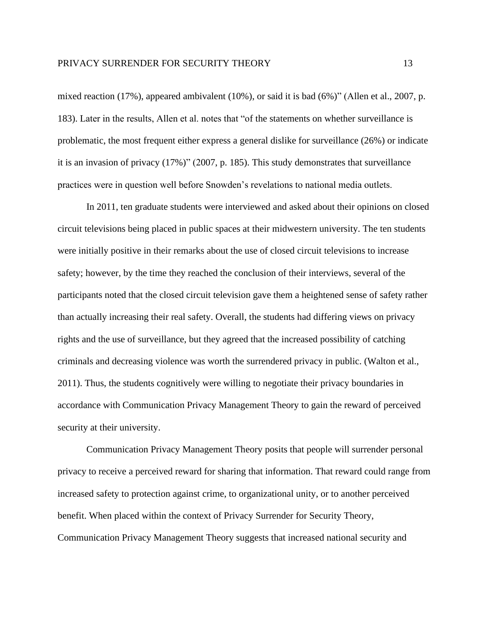mixed reaction (17%), appeared ambivalent (10%), or said it is bad (6%)" (Allen et al., 2007, p. 183). Later in the results, Allen et al. notes that "of the statements on whether surveillance is problematic, the most frequent either express a general dislike for surveillance (26%) or indicate it is an invasion of privacy (17%)" (2007, p. 185). This study demonstrates that surveillance practices were in question well before Snowden's revelations to national media outlets.

In 2011, ten graduate students were interviewed and asked about their opinions on closed circuit televisions being placed in public spaces at their midwestern university. The ten students were initially positive in their remarks about the use of closed circuit televisions to increase safety; however, by the time they reached the conclusion of their interviews, several of the participants noted that the closed circuit television gave them a heightened sense of safety rather than actually increasing their real safety. Overall, the students had differing views on privacy rights and the use of surveillance, but they agreed that the increased possibility of catching criminals and decreasing violence was worth the surrendered privacy in public. (Walton et al., 2011). Thus, the students cognitively were willing to negotiate their privacy boundaries in accordance with Communication Privacy Management Theory to gain the reward of perceived security at their university.

Communication Privacy Management Theory posits that people will surrender personal privacy to receive a perceived reward for sharing that information. That reward could range from increased safety to protection against crime, to organizational unity, or to another perceived benefit. When placed within the context of Privacy Surrender for Security Theory, Communication Privacy Management Theory suggests that increased national security and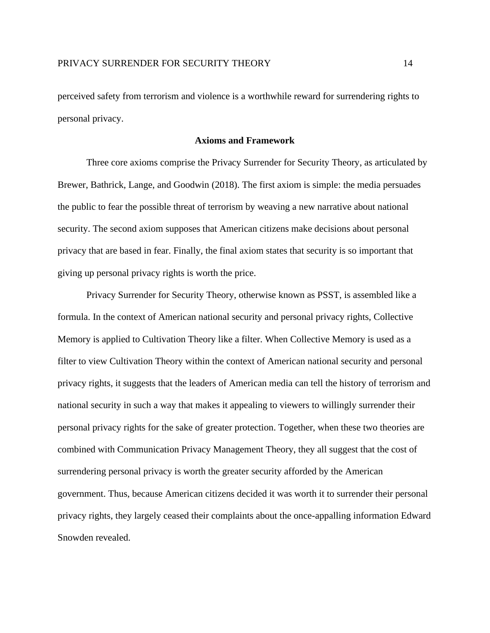perceived safety from terrorism and violence is a worthwhile reward for surrendering rights to personal privacy.

### **Axioms and Framework**

Three core axioms comprise the Privacy Surrender for Security Theory, as articulated by Brewer, Bathrick, Lange, and Goodwin (2018). The first axiom is simple: the media persuades the public to fear the possible threat of terrorism by weaving a new narrative about national security. The second axiom supposes that American citizens make decisions about personal privacy that are based in fear. Finally, the final axiom states that security is so important that giving up personal privacy rights is worth the price.

Privacy Surrender for Security Theory, otherwise known as PSST, is assembled like a formula. In the context of American national security and personal privacy rights, Collective Memory is applied to Cultivation Theory like a filter. When Collective Memory is used as a filter to view Cultivation Theory within the context of American national security and personal privacy rights, it suggests that the leaders of American media can tell the history of terrorism and national security in such a way that makes it appealing to viewers to willingly surrender their personal privacy rights for the sake of greater protection. Together, when these two theories are combined with Communication Privacy Management Theory, they all suggest that the cost of surrendering personal privacy is worth the greater security afforded by the American government. Thus, because American citizens decided it was worth it to surrender their personal privacy rights, they largely ceased their complaints about the once-appalling information Edward Snowden revealed.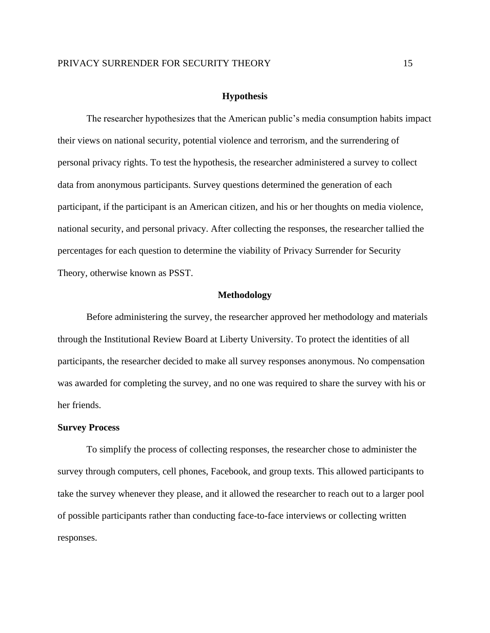#### **Hypothesis**

The researcher hypothesizes that the American public's media consumption habits impact their views on national security, potential violence and terrorism, and the surrendering of personal privacy rights. To test the hypothesis, the researcher administered a survey to collect data from anonymous participants. Survey questions determined the generation of each participant, if the participant is an American citizen, and his or her thoughts on media violence, national security, and personal privacy. After collecting the responses, the researcher tallied the percentages for each question to determine the viability of Privacy Surrender for Security Theory, otherwise known as PSST.

### **Methodology**

Before administering the survey, the researcher approved her methodology and materials through the Institutional Review Board at Liberty University. To protect the identities of all participants, the researcher decided to make all survey responses anonymous. No compensation was awarded for completing the survey, and no one was required to share the survey with his or her friends.

#### **Survey Process**

To simplify the process of collecting responses, the researcher chose to administer the survey through computers, cell phones, Facebook, and group texts. This allowed participants to take the survey whenever they please, and it allowed the researcher to reach out to a larger pool of possible participants rather than conducting face-to-face interviews or collecting written responses.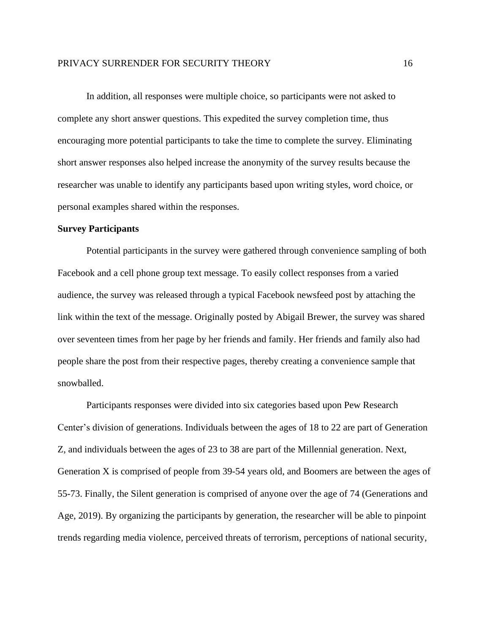In addition, all responses were multiple choice, so participants were not asked to complete any short answer questions. This expedited the survey completion time, thus encouraging more potential participants to take the time to complete the survey. Eliminating short answer responses also helped increase the anonymity of the survey results because the researcher was unable to identify any participants based upon writing styles, word choice, or personal examples shared within the responses.

### **Survey Participants**

Potential participants in the survey were gathered through convenience sampling of both Facebook and a cell phone group text message. To easily collect responses from a varied audience, the survey was released through a typical Facebook newsfeed post by attaching the link within the text of the message. Originally posted by Abigail Brewer, the survey was shared over seventeen times from her page by her friends and family. Her friends and family also had people share the post from their respective pages, thereby creating a convenience sample that snowballed.

Participants responses were divided into six categories based upon Pew Research Center's division of generations. Individuals between the ages of 18 to 22 are part of Generation Z, and individuals between the ages of 23 to 38 are part of the Millennial generation. Next, Generation X is comprised of people from 39-54 years old, and Boomers are between the ages of 55-73. Finally, the Silent generation is comprised of anyone over the age of 74 (Generations and Age, 2019). By organizing the participants by generation, the researcher will be able to pinpoint trends regarding media violence, perceived threats of terrorism, perceptions of national security,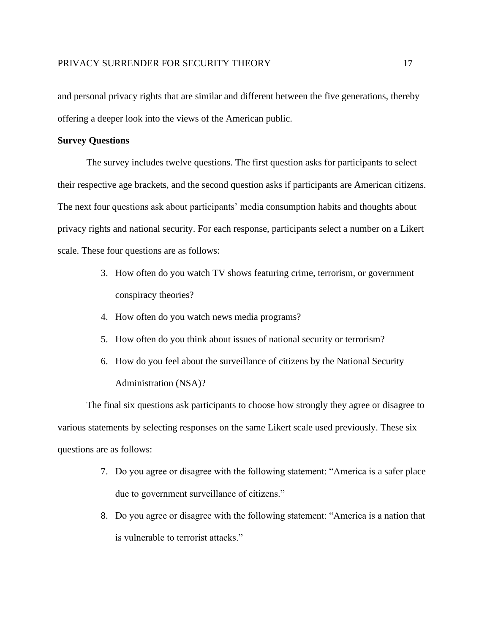and personal privacy rights that are similar and different between the five generations, thereby offering a deeper look into the views of the American public.

# **Survey Questions**

The survey includes twelve questions. The first question asks for participants to select their respective age brackets, and the second question asks if participants are American citizens. The next four questions ask about participants' media consumption habits and thoughts about privacy rights and national security. For each response, participants select a number on a Likert scale. These four questions are as follows:

- 3. How often do you watch TV shows featuring crime, terrorism, or government conspiracy theories?
- 4. How often do you watch news media programs?
- 5. How often do you think about issues of national security or terrorism?
- 6. How do you feel about the surveillance of citizens by the National Security Administration (NSA)?

The final six questions ask participants to choose how strongly they agree or disagree to various statements by selecting responses on the same Likert scale used previously. These six questions are as follows:

- 7. Do you agree or disagree with the following statement: "America is a safer place due to government surveillance of citizens."
- 8. Do you agree or disagree with the following statement: "America is a nation that is vulnerable to terrorist attacks."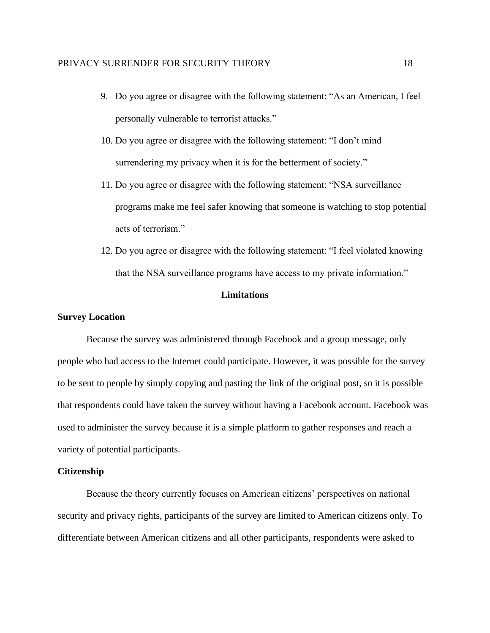- 9. Do you agree or disagree with the following statement: "As an American, I feel personally vulnerable to terrorist attacks."
- 10. Do you agree or disagree with the following statement: "I don't mind surrendering my privacy when it is for the betterment of society."
- 11. Do you agree or disagree with the following statement: "NSA surveillance programs make me feel safer knowing that someone is watching to stop potential acts of terrorism."
- 12. Do you agree or disagree with the following statement: "I feel violated knowing that the NSA surveillance programs have access to my private information."

# **Limitations**

### **Survey Location**

Because the survey was administered through Facebook and a group message, only people who had access to the Internet could participate. However, it was possible for the survey to be sent to people by simply copying and pasting the link of the original post, so it is possible that respondents could have taken the survey without having a Facebook account. Facebook was used to administer the survey because it is a simple platform to gather responses and reach a variety of potential participants.

# **Citizenship**

Because the theory currently focuses on American citizens' perspectives on national security and privacy rights, participants of the survey are limited to American citizens only. To differentiate between American citizens and all other participants, respondents were asked to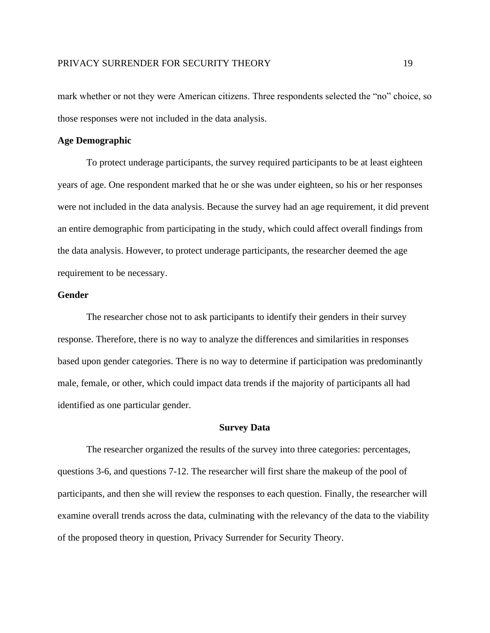mark whether or not they were American citizens. Three respondents selected the "no" choice, so those responses were not included in the data analysis.

### **Age Demographic**

To protect underage participants, the survey required participants to be at least eighteen years of age. One respondent marked that he or she was under eighteen, so his or her responses were not included in the data analysis. Because the survey had an age requirement, it did prevent an entire demographic from participating in the study, which could affect overall findings from the data analysis. However, to protect underage participants, the researcher deemed the age requirement to be necessary.

# **Gender**

The researcher chose not to ask participants to identify their genders in their survey response. Therefore, there is no way to analyze the differences and similarities in responses based upon gender categories. There is no way to determine if participation was predominantly male, female, or other, which could impact data trends if the majority of participants all had identified as one particular gender.

#### **Survey Data**

The researcher organized the results of the survey into three categories: percentages, questions 3-6, and questions 7-12. The researcher will first share the makeup of the pool of participants, and then she will review the responses to each question. Finally, the researcher will examine overall trends across the data, culminating with the relevancy of the data to the viability of the proposed theory in question, Privacy Surrender for Security Theory.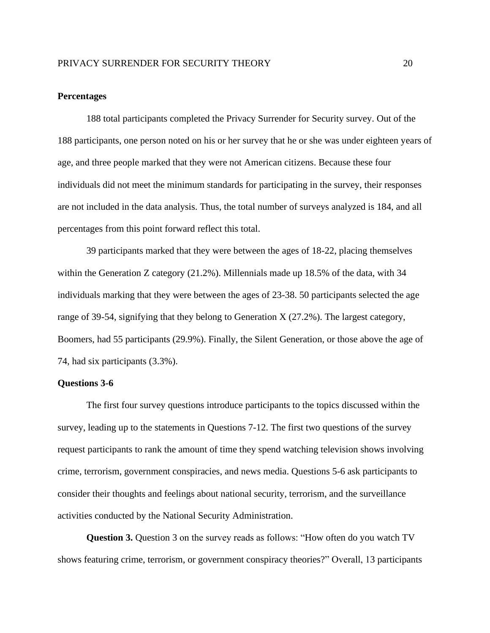### **Percentages**

188 total participants completed the Privacy Surrender for Security survey. Out of the 188 participants, one person noted on his or her survey that he or she was under eighteen years of age, and three people marked that they were not American citizens. Because these four individuals did not meet the minimum standards for participating in the survey, their responses are not included in the data analysis. Thus, the total number of surveys analyzed is 184, and all percentages from this point forward reflect this total.

39 participants marked that they were between the ages of 18-22, placing themselves within the Generation Z category (21.2%). Millennials made up 18.5% of the data, with 34 individuals marking that they were between the ages of 23-38. 50 participants selected the age range of 39-54, signifying that they belong to Generation X (27.2%). The largest category, Boomers, had 55 participants (29.9%). Finally, the Silent Generation, or those above the age of 74, had six participants (3.3%).

### **Questions 3-6**

The first four survey questions introduce participants to the topics discussed within the survey, leading up to the statements in Questions 7-12. The first two questions of the survey request participants to rank the amount of time they spend watching television shows involving crime, terrorism, government conspiracies, and news media. Questions 5-6 ask participants to consider their thoughts and feelings about national security, terrorism, and the surveillance activities conducted by the National Security Administration.

**Question 3.** Question 3 on the survey reads as follows: "How often do you watch TV shows featuring crime, terrorism, or government conspiracy theories?" Overall, 13 participants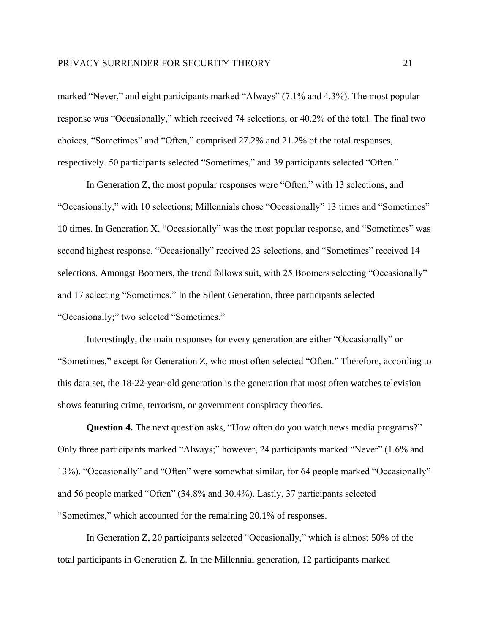marked "Never," and eight participants marked "Always" (7.1% and 4.3%). The most popular response was "Occasionally," which received 74 selections, or 40.2% of the total. The final two choices, "Sometimes" and "Often," comprised 27.2% and 21.2% of the total responses, respectively. 50 participants selected "Sometimes," and 39 participants selected "Often."

In Generation Z, the most popular responses were "Often," with 13 selections, and "Occasionally," with 10 selections; Millennials chose "Occasionally" 13 times and "Sometimes" 10 times. In Generation X, "Occasionally" was the most popular response, and "Sometimes" was second highest response. "Occasionally" received 23 selections, and "Sometimes" received 14 selections. Amongst Boomers, the trend follows suit, with 25 Boomers selecting "Occasionally" and 17 selecting "Sometimes." In the Silent Generation, three participants selected "Occasionally;" two selected "Sometimes."

Interestingly, the main responses for every generation are either "Occasionally" or "Sometimes," except for Generation Z, who most often selected "Often." Therefore, according to this data set, the 18-22-year-old generation is the generation that most often watches television shows featuring crime, terrorism, or government conspiracy theories.

**Question 4.** The next question asks, "How often do you watch news media programs?" Only three participants marked "Always;" however, 24 participants marked "Never" (1.6% and 13%). "Occasionally" and "Often" were somewhat similar, for 64 people marked "Occasionally" and 56 people marked "Often" (34.8% and 30.4%). Lastly, 37 participants selected "Sometimes," which accounted for the remaining 20.1% of responses.

In Generation Z, 20 participants selected "Occasionally," which is almost 50% of the total participants in Generation Z. In the Millennial generation, 12 participants marked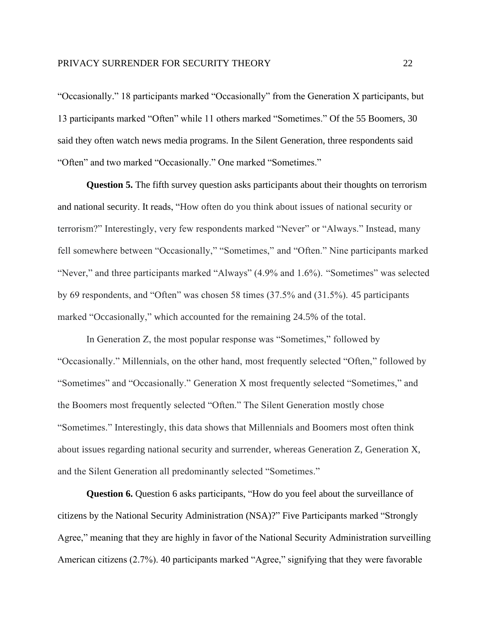"Occasionally." 18 participants marked "Occasionally" from the Generation X participants, but 13 participants marked "Often" while 11 others marked "Sometimes." Of the 55 Boomers, 30 said they often watch news media programs. In the Silent Generation, three respondents said "Often" and two marked "Occasionally." One marked "Sometimes."

**Question 5.** The fifth survey question asks participants about their thoughts on terrorism and national security. It reads, "How often do you think about issues of national security or terrorism?" Interestingly, very few respondents marked "Never" or "Always." Instead, many fell somewhere between "Occasionally," "Sometimes," and "Often." Nine participants marked "Never," and three participants marked "Always" (4.9% and 1.6%). "Sometimes" was selected by 69 respondents, and "Often" was chosen 58 times (37.5% and (31.5%). 45 participants marked "Occasionally," which accounted for the remaining 24.5% of the total.

In Generation Z, the most popular response was "Sometimes," followed by "Occasionally." Millennials, on the other hand, most frequently selected "Often," followed by "Sometimes" and "Occasionally." Generation X most frequently selected "Sometimes," and the Boomers most frequently selected "Often." The Silent Generation mostly chose "Sometimes." Interestingly, this data shows that Millennials and Boomers most often think about issues regarding national security and surrender, whereas Generation Z, Generation X, and the Silent Generation all predominantly selected "Sometimes."

**Question 6.** Question 6 asks participants, "How do you feel about the surveillance of citizens by the National Security Administration (NSA)?" Five Participants marked "Strongly Agree," meaning that they are highly in favor of the National Security Administration surveilling American citizens (2.7%). 40 participants marked "Agree," signifying that they were favorable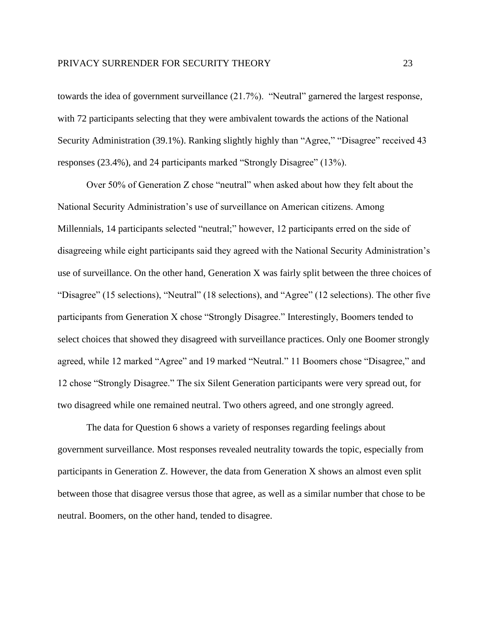towards the idea of government surveillance (21.7%). "Neutral" garnered the largest response, with 72 participants selecting that they were ambivalent towards the actions of the National Security Administration (39.1%). Ranking slightly highly than "Agree," "Disagree" received 43 responses (23.4%), and 24 participants marked "Strongly Disagree" (13%).

Over 50% of Generation Z chose "neutral" when asked about how they felt about the National Security Administration's use of surveillance on American citizens. Among Millennials, 14 participants selected "neutral;" however, 12 participants erred on the side of disagreeing while eight participants said they agreed with the National Security Administration's use of surveillance. On the other hand, Generation X was fairly split between the three choices of "Disagree" (15 selections), "Neutral" (18 selections), and "Agree" (12 selections). The other five participants from Generation X chose "Strongly Disagree." Interestingly, Boomers tended to select choices that showed they disagreed with surveillance practices. Only one Boomer strongly agreed, while 12 marked "Agree" and 19 marked "Neutral." 11 Boomers chose "Disagree," and 12 chose "Strongly Disagree." The six Silent Generation participants were very spread out, for two disagreed while one remained neutral. Two others agreed, and one strongly agreed.

The data for Question 6 shows a variety of responses regarding feelings about government surveillance. Most responses revealed neutrality towards the topic, especially from participants in Generation Z. However, the data from Generation X shows an almost even split between those that disagree versus those that agree, as well as a similar number that chose to be neutral. Boomers, on the other hand, tended to disagree.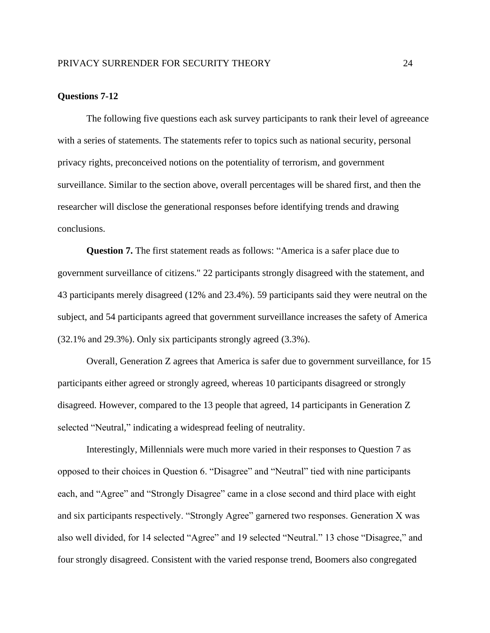### **Questions 7-12**

The following five questions each ask survey participants to rank their level of agreeance with a series of statements. The statements refer to topics such as national security, personal privacy rights, preconceived notions on the potentiality of terrorism, and government surveillance. Similar to the section above, overall percentages will be shared first, and then the researcher will disclose the generational responses before identifying trends and drawing conclusions.

**Question 7.** The first statement reads as follows: "America is a safer place due to government surveillance of citizens." 22 participants strongly disagreed with the statement, and 43 participants merely disagreed (12% and 23.4%). 59 participants said they were neutral on the subject, and 54 participants agreed that government surveillance increases the safety of America (32.1% and 29.3%). Only six participants strongly agreed (3.3%).

Overall, Generation Z agrees that America is safer due to government surveillance, for 15 participants either agreed or strongly agreed, whereas 10 participants disagreed or strongly disagreed. However, compared to the 13 people that agreed, 14 participants in Generation Z selected "Neutral," indicating a widespread feeling of neutrality.

Interestingly, Millennials were much more varied in their responses to Question 7 as opposed to their choices in Question 6. "Disagree" and "Neutral" tied with nine participants each, and "Agree" and "Strongly Disagree" came in a close second and third place with eight and six participants respectively. "Strongly Agree" garnered two responses. Generation X was also well divided, for 14 selected "Agree" and 19 selected "Neutral." 13 chose "Disagree," and four strongly disagreed. Consistent with the varied response trend, Boomers also congregated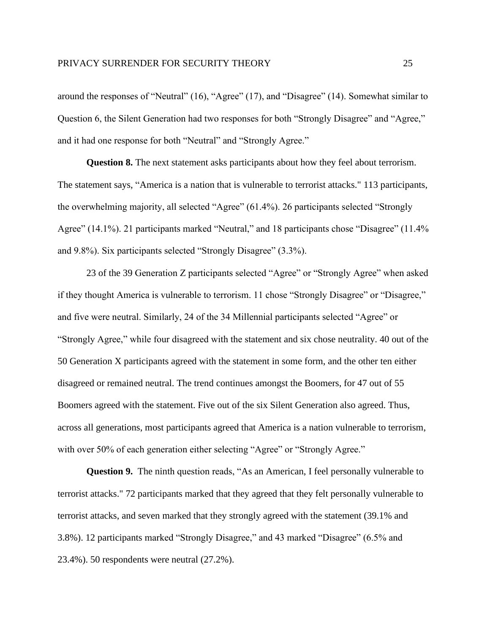around the responses of "Neutral" (16), "Agree" (17), and "Disagree" (14). Somewhat similar to Question 6, the Silent Generation had two responses for both "Strongly Disagree" and "Agree," and it had one response for both "Neutral" and "Strongly Agree."

**Question 8.** The next statement asks participants about how they feel about terrorism. The statement says, "America is a nation that is vulnerable to terrorist attacks." 113 participants, the overwhelming majority, all selected "Agree" (61.4%). 26 participants selected "Strongly Agree" (14.1%). 21 participants marked "Neutral," and 18 participants chose "Disagree" (11.4%) and 9.8%). Six participants selected "Strongly Disagree" (3.3%).

23 of the 39 Generation Z participants selected "Agree" or "Strongly Agree" when asked if they thought America is vulnerable to terrorism. 11 chose "Strongly Disagree" or "Disagree," and five were neutral. Similarly, 24 of the 34 Millennial participants selected "Agree" or "Strongly Agree," while four disagreed with the statement and six chose neutrality. 40 out of the 50 Generation X participants agreed with the statement in some form, and the other ten either disagreed or remained neutral. The trend continues amongst the Boomers, for 47 out of 55 Boomers agreed with the statement. Five out of the six Silent Generation also agreed. Thus, across all generations, most participants agreed that America is a nation vulnerable to terrorism, with over 50% of each generation either selecting "Agree" or "Strongly Agree."

**Question 9.** The ninth question reads, "As an American, I feel personally vulnerable to terrorist attacks." 72 participants marked that they agreed that they felt personally vulnerable to terrorist attacks, and seven marked that they strongly agreed with the statement (39.1% and 3.8%). 12 participants marked "Strongly Disagree," and 43 marked "Disagree" (6.5% and 23.4%). 50 respondents were neutral (27.2%).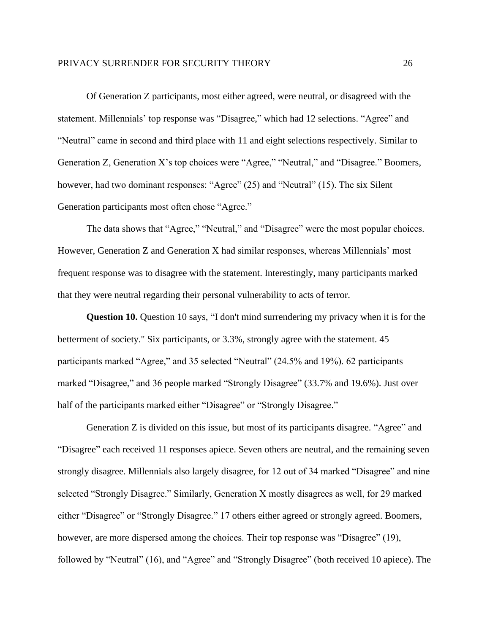#### PRIVACY SURRENDER FOR SECURITY THEORY 26

Of Generation Z participants, most either agreed, were neutral, or disagreed with the statement. Millennials' top response was "Disagree," which had 12 selections. "Agree" and "Neutral" came in second and third place with 11 and eight selections respectively. Similar to Generation Z, Generation X's top choices were "Agree," "Neutral," and "Disagree." Boomers, however, had two dominant responses: "Agree" (25) and "Neutral" (15). The six Silent Generation participants most often chose "Agree."

The data shows that "Agree," "Neutral," and "Disagree" were the most popular choices. However, Generation Z and Generation X had similar responses, whereas Millennials' most frequent response was to disagree with the statement. Interestingly, many participants marked that they were neutral regarding their personal vulnerability to acts of terror.

**Question 10.** Question 10 says, "I don't mind surrendering my privacy when it is for the betterment of society." Six participants, or 3.3%, strongly agree with the statement. 45 participants marked "Agree," and 35 selected "Neutral" (24.5% and 19%). 62 participants marked "Disagree," and 36 people marked "Strongly Disagree" (33.7% and 19.6%). Just over half of the participants marked either "Disagree" or "Strongly Disagree."

Generation Z is divided on this issue, but most of its participants disagree. "Agree" and "Disagree" each received 11 responses apiece. Seven others are neutral, and the remaining seven strongly disagree. Millennials also largely disagree, for 12 out of 34 marked "Disagree" and nine selected "Strongly Disagree." Similarly, Generation X mostly disagrees as well, for 29 marked either "Disagree" or "Strongly Disagree." 17 others either agreed or strongly agreed. Boomers, however, are more dispersed among the choices. Their top response was "Disagree" (19), followed by "Neutral" (16), and "Agree" and "Strongly Disagree" (both received 10 apiece). The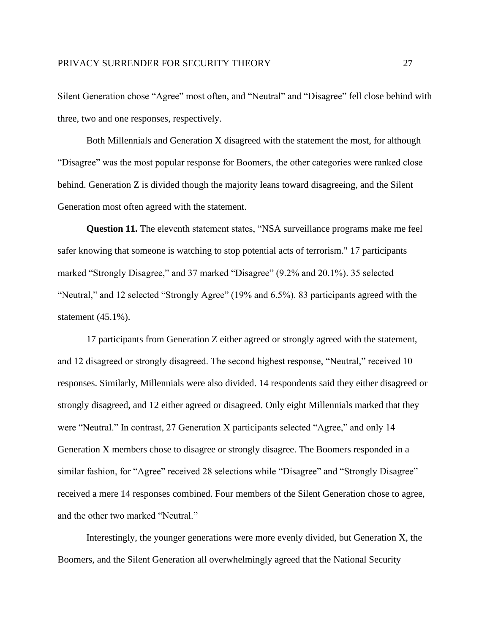Silent Generation chose "Agree" most often, and "Neutral" and "Disagree" fell close behind with three, two and one responses, respectively.

Both Millennials and Generation X disagreed with the statement the most, for although "Disagree" was the most popular response for Boomers, the other categories were ranked close behind. Generation Z is divided though the majority leans toward disagreeing, and the Silent Generation most often agreed with the statement.

**Question 11.** The eleventh statement states, "NSA surveillance programs make me feel safer knowing that someone is watching to stop potential acts of terrorism." 17 participants marked "Strongly Disagree," and 37 marked "Disagree" (9.2% and 20.1%). 35 selected "Neutral," and 12 selected "Strongly Agree" (19% and 6.5%). 83 participants agreed with the statement (45.1%).

17 participants from Generation Z either agreed or strongly agreed with the statement, and 12 disagreed or strongly disagreed. The second highest response, "Neutral," received 10 responses. Similarly, Millennials were also divided. 14 respondents said they either disagreed or strongly disagreed, and 12 either agreed or disagreed. Only eight Millennials marked that they were "Neutral." In contrast, 27 Generation X participants selected "Agree," and only 14 Generation X members chose to disagree or strongly disagree. The Boomers responded in a similar fashion, for "Agree" received 28 selections while "Disagree" and "Strongly Disagree" received a mere 14 responses combined. Four members of the Silent Generation chose to agree, and the other two marked "Neutral."

Interestingly, the younger generations were more evenly divided, but Generation X, the Boomers, and the Silent Generation all overwhelmingly agreed that the National Security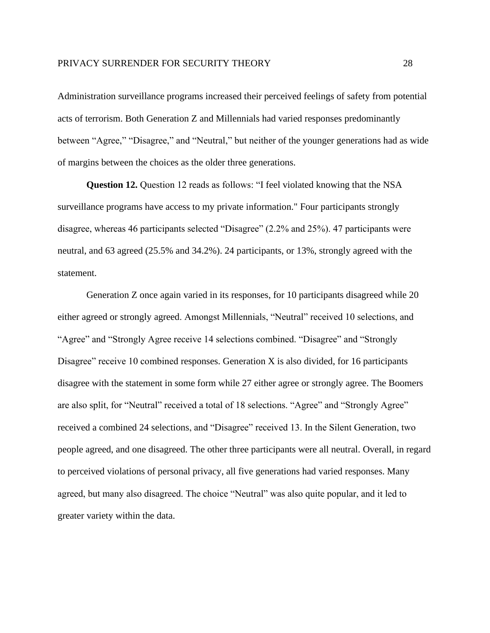Administration surveillance programs increased their perceived feelings of safety from potential acts of terrorism. Both Generation Z and Millennials had varied responses predominantly between "Agree," "Disagree," and "Neutral," but neither of the younger generations had as wide of margins between the choices as the older three generations.

**Question 12.** Question 12 reads as follows: "I feel violated knowing that the NSA surveillance programs have access to my private information." Four participants strongly disagree, whereas 46 participants selected "Disagree" (2.2% and 25%). 47 participants were neutral, and 63 agreed (25.5% and 34.2%). 24 participants, or 13%, strongly agreed with the statement.

Generation Z once again varied in its responses, for 10 participants disagreed while 20 either agreed or strongly agreed. Amongst Millennials, "Neutral" received 10 selections, and "Agree" and "Strongly Agree receive 14 selections combined. "Disagree" and "Strongly Disagree" receive 10 combined responses. Generation X is also divided, for 16 participants disagree with the statement in some form while 27 either agree or strongly agree. The Boomers are also split, for "Neutral" received a total of 18 selections. "Agree" and "Strongly Agree" received a combined 24 selections, and "Disagree" received 13. In the Silent Generation, two people agreed, and one disagreed. The other three participants were all neutral. Overall, in regard to perceived violations of personal privacy, all five generations had varied responses. Many agreed, but many also disagreed. The choice "Neutral" was also quite popular, and it led to greater variety within the data.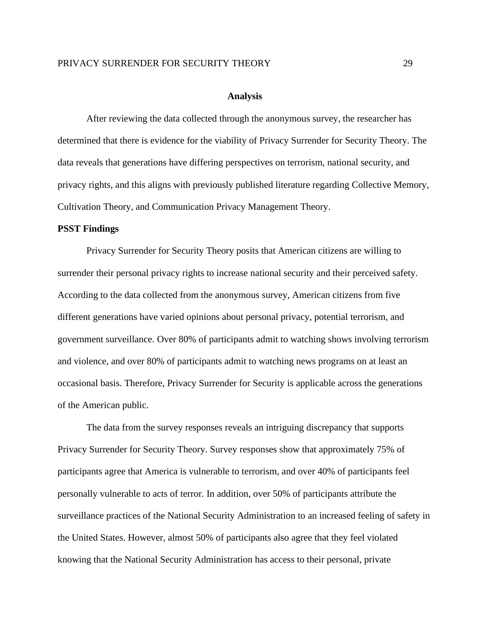# PRIVACY SURRENDER FOR SECURITY THEORY 29

#### **Analysis**

After reviewing the data collected through the anonymous survey, the researcher has determined that there is evidence for the viability of Privacy Surrender for Security Theory. The data reveals that generations have differing perspectives on terrorism, national security, and privacy rights, and this aligns with previously published literature regarding Collective Memory, Cultivation Theory, and Communication Privacy Management Theory.

# **PSST Findings**

Privacy Surrender for Security Theory posits that American citizens are willing to surrender their personal privacy rights to increase national security and their perceived safety. According to the data collected from the anonymous survey, American citizens from five different generations have varied opinions about personal privacy, potential terrorism, and government surveillance. Over 80% of participants admit to watching shows involving terrorism and violence, and over 80% of participants admit to watching news programs on at least an occasional basis. Therefore, Privacy Surrender for Security is applicable across the generations of the American public.

The data from the survey responses reveals an intriguing discrepancy that supports Privacy Surrender for Security Theory. Survey responses show that approximately 75% of participants agree that America is vulnerable to terrorism, and over 40% of participants feel personally vulnerable to acts of terror. In addition, over 50% of participants attribute the surveillance practices of the National Security Administration to an increased feeling of safety in the United States. However, almost 50% of participants also agree that they feel violated knowing that the National Security Administration has access to their personal, private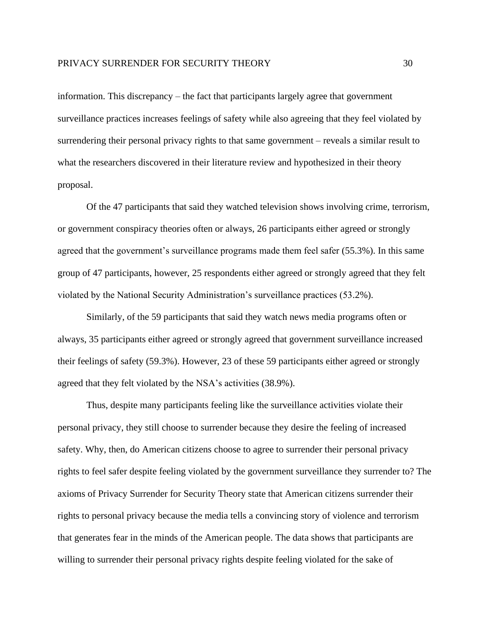information. This discrepancy – the fact that participants largely agree that government surveillance practices increases feelings of safety while also agreeing that they feel violated by surrendering their personal privacy rights to that same government – reveals a similar result to what the researchers discovered in their literature review and hypothesized in their theory proposal.

Of the 47 participants that said they watched television shows involving crime, terrorism, or government conspiracy theories often or always, 26 participants either agreed or strongly agreed that the government's surveillance programs made them feel safer (55.3%). In this same group of 47 participants, however, 25 respondents either agreed or strongly agreed that they felt violated by the National Security Administration's surveillance practices (53.2%).

Similarly, of the 59 participants that said they watch news media programs often or always, 35 participants either agreed or strongly agreed that government surveillance increased their feelings of safety (59.3%). However, 23 of these 59 participants either agreed or strongly agreed that they felt violated by the NSA's activities (38.9%).

Thus, despite many participants feeling like the surveillance activities violate their personal privacy, they still choose to surrender because they desire the feeling of increased safety. Why, then, do American citizens choose to agree to surrender their personal privacy rights to feel safer despite feeling violated by the government surveillance they surrender to? The axioms of Privacy Surrender for Security Theory state that American citizens surrender their rights to personal privacy because the media tells a convincing story of violence and terrorism that generates fear in the minds of the American people. The data shows that participants are willing to surrender their personal privacy rights despite feeling violated for the sake of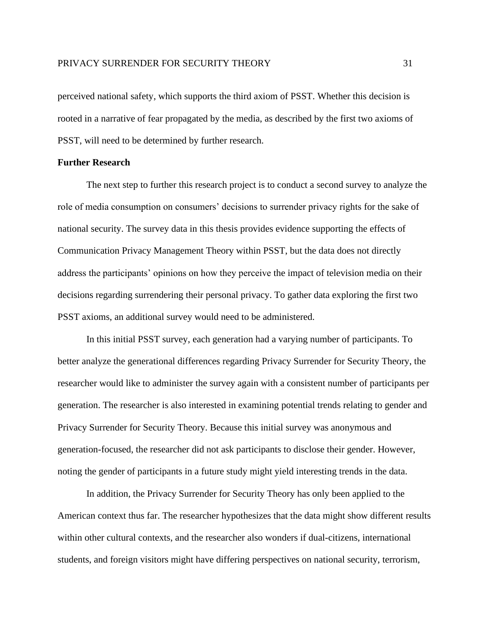perceived national safety, which supports the third axiom of PSST. Whether this decision is rooted in a narrative of fear propagated by the media, as described by the first two axioms of PSST, will need to be determined by further research.

# **Further Research**

The next step to further this research project is to conduct a second survey to analyze the role of media consumption on consumers' decisions to surrender privacy rights for the sake of national security. The survey data in this thesis provides evidence supporting the effects of Communication Privacy Management Theory within PSST, but the data does not directly address the participants' opinions on how they perceive the impact of television media on their decisions regarding surrendering their personal privacy. To gather data exploring the first two PSST axioms, an additional survey would need to be administered.

In this initial PSST survey, each generation had a varying number of participants. To better analyze the generational differences regarding Privacy Surrender for Security Theory, the researcher would like to administer the survey again with a consistent number of participants per generation. The researcher is also interested in examining potential trends relating to gender and Privacy Surrender for Security Theory. Because this initial survey was anonymous and generation-focused, the researcher did not ask participants to disclose their gender. However, noting the gender of participants in a future study might yield interesting trends in the data.

In addition, the Privacy Surrender for Security Theory has only been applied to the American context thus far. The researcher hypothesizes that the data might show different results within other cultural contexts, and the researcher also wonders if dual-citizens, international students, and foreign visitors might have differing perspectives on national security, terrorism,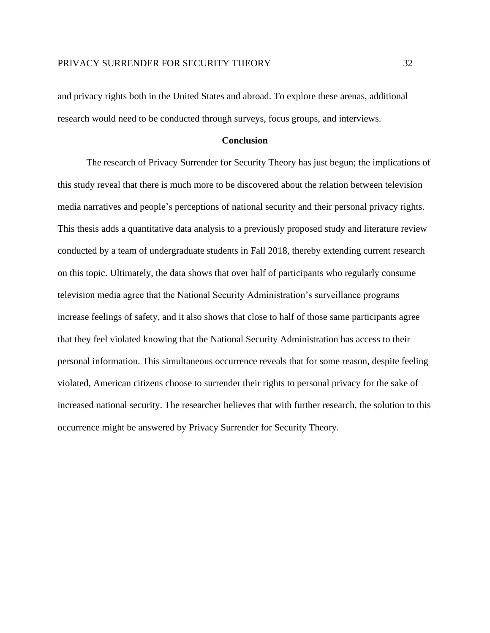and privacy rights both in the United States and abroad. To explore these arenas, additional research would need to be conducted through surveys, focus groups, and interviews.

# **Conclusion**

The research of Privacy Surrender for Security Theory has just begun; the implications of this study reveal that there is much more to be discovered about the relation between television media narratives and people's perceptions of national security and their personal privacy rights. This thesis adds a quantitative data analysis to a previously proposed study and literature review conducted by a team of undergraduate students in Fall 2018, thereby extending current research on this topic. Ultimately, the data shows that over half of participants who regularly consume television media agree that the National Security Administration's surveillance programs increase feelings of safety, and it also shows that close to half of those same participants agree that they feel violated knowing that the National Security Administration has access to their personal information. This simultaneous occurrence reveals that for some reason, despite feeling violated, American citizens choose to surrender their rights to personal privacy for the sake of increased national security. The researcher believes that with further research, the solution to this occurrence might be answered by Privacy Surrender for Security Theory.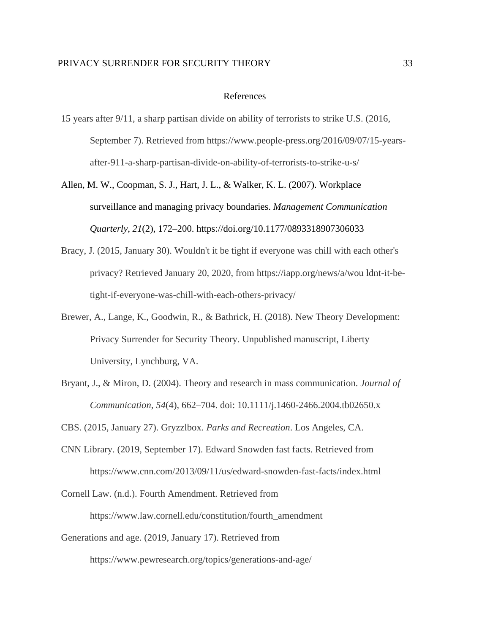### PRIVACY SURRENDER FOR SECURITY THEORY 33

### References

- 15 years after 9/11, a sharp partisan divide on ability of terrorists to strike U.S. (2016, September 7). Retrieved from https://www.people-press.org/2016/09/07/15-yearsafter-911-a-sharp-partisan-divide-on-ability-of-terrorists-to-strike-u-s/
- Allen, M. W., Coopman, S. J., Hart, J. L., & Walker, K. L. (2007). Workplace surveillance and managing privacy boundaries. *Management Communication Quarterly*, *21*(2), 172–200. https://doi.org/10.1177/0893318907306033
- Bracy, J. (2015, January 30). Wouldn't it be tight if everyone was chill with each other's privacy? Retrieved January 20, 2020, from https://iapp.org/news/a/wou ldnt-it-betight-if-everyone-was-chill-with-each-others-privacy/
- Brewer, A., Lange, K., Goodwin, R., & Bathrick, H. (2018). New Theory Development: Privacy Surrender for Security Theory. Unpublished manuscript, Liberty University, Lynchburg, VA.
- Bryant, J., & Miron, D. (2004). Theory and research in mass communication. *Journal of Communication*, *54*(4), 662–704. doi: 10.1111/j.1460-2466.2004.tb02650.x

CBS. (2015, January 27). Gryzzlbox. *Parks and Recreation*. Los Angeles, CA.

- CNN Library. (2019, September 17). Edward Snowden fast facts. Retrieved from https://www.cnn.com/2013/09/11/us/edward-snowden-fast-facts/index.html
- Cornell Law. (n.d.). Fourth Amendment. Retrieved from https://www.law.cornell.edu/constitution/fourth\_amendment
- Generations and age. (2019, January 17). Retrieved from

https://www.pewresearch.org/topics/generations-and-age/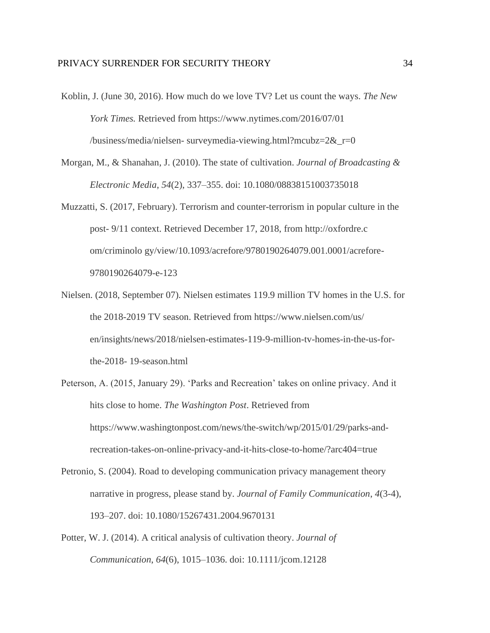- Koblin, J. (June 30, 2016). How much do we love TV? Let us count the ways. *The New York Times.* Retrieved from https://www.nytimes.com/2016/07/01 /business/media/nielsen- surveymedia-viewing.html?mcubz=2&\_r=0
- Morgan, M., & Shanahan, J. (2010). The state of cultivation. *Journal of Broadcasting & Electronic Media*, *54*(2), 337–355. doi: 10.1080/08838151003735018
- Muzzatti, S. (2017, February). Terrorism and counter-terrorism in popular culture in the post- 9/11 context. Retrieved December 17, 2018, from http://oxfordre.c om/criminolo gy/view/10.1093/acrefore/9780190264079.001.0001/acrefore-9780190264079-e-123
- Nielsen. (2018, September 07). Nielsen estimates 119.9 million TV homes in the U.S. for the 2018-2019 TV season. Retrieved from https://www.nielsen.com/us/ en/insights/news/2018/nielsen-estimates-119-9-million-tv-homes-in-the-us-forthe-2018- 19-season.html
- Peterson, A. (2015, January 29). 'Parks and Recreation' takes on online privacy. And it hits close to home. *The Washington Post*. Retrieved from https://www.washingtonpost.com/news/the-switch/wp/2015/01/29/parks-andrecreation-takes-on-online-privacy-and-it-hits-close-to-home/?arc404=true
- Petronio, S. (2004). Road to developing communication privacy management theory narrative in progress, please stand by. *Journal of Family Communication*, *4*(3-4), 193–207. doi: 10.1080/15267431.2004.9670131
- Potter, W. J. (2014). A critical analysis of cultivation theory. *Journal of Communication*, *64*(6), 1015–1036. doi: 10.1111/jcom.12128